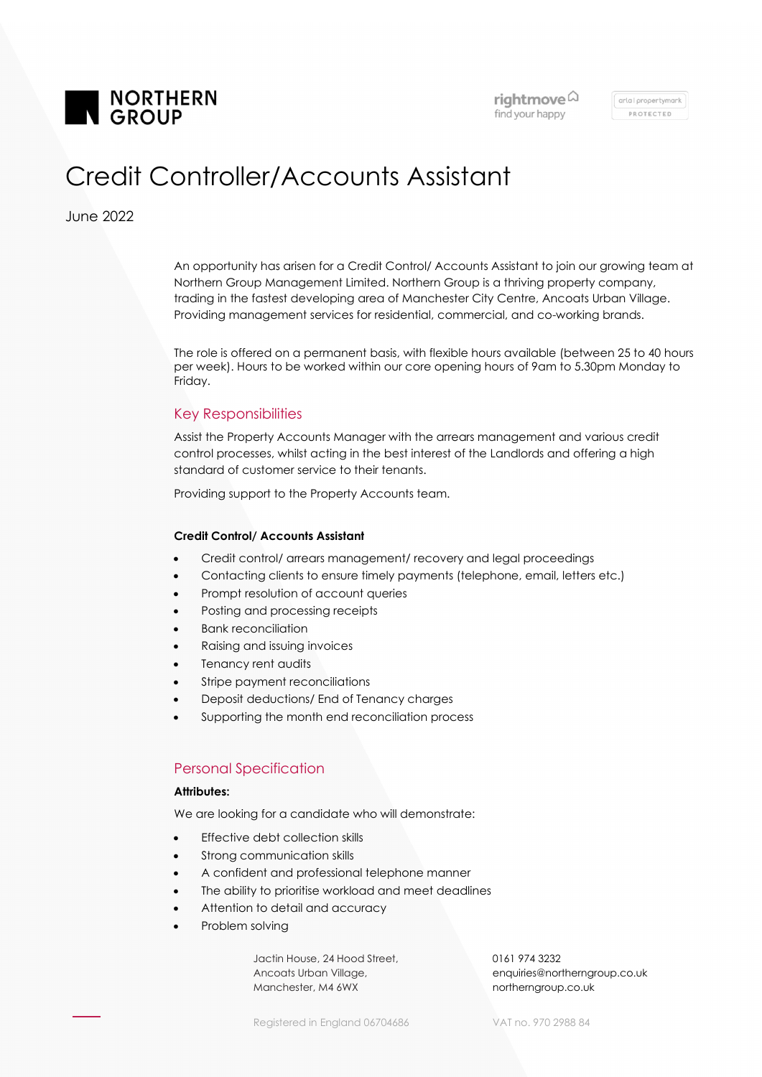

arla i propertymark PROTECTED

# Credit Controller/Accounts Assistant

June 2022

An opportunity has arisen for a Credit Control/ Accounts Assistant to join our growing team at Northern Group Management Limited. Northern Group is a thriving property company, trading in the fastest developing area of Manchester City Centre, Ancoats Urban Village. Providing management services for residential, commercial, and co-working brands.

The role is offered on a permanent basis, with flexible hours available (between 25 to 40 hours per week). Hours to be worked within our core opening hours of 9am to 5.30pm Monday to Friday.

## Key Responsibilities

Assist the Property Accounts Manager with the arrears management and various credit control processes, whilst acting in the best interest of the Landlords and offering a high standard of customer service to their tenants.

Providing support to the Property Accounts team.

#### Credit Control/ Accounts Assistant

- Credit control/ arrears management/ recovery and legal proceedings
- Contacting clients to ensure timely payments (telephone, email, letters etc.)
- Prompt resolution of account queries
- Posting and processing receipts
- Bank reconciliation
- Raising and issuing invoices
- Tenancy rent audits
- Stripe payment reconciliations
- Deposit deductions/ End of Tenancy charges
- Supporting the month end reconciliation process

## Personal Specification

#### Attributes:

We are looking for a candidate who will demonstrate:

- Effective debt collection skills
- **•** Strong communication skills
- A confident and professional telephone manner
- The ability to prioritise workload and meet deadlines
- Attention to detail and accuracy
- Problem solving

 Jactin House, 24 Hood Street, Ancoats Urban Village, Manchester, M4 6WX

0161 974 3232 enquiries@northerngroup.co.uk northerngroup.co.uk